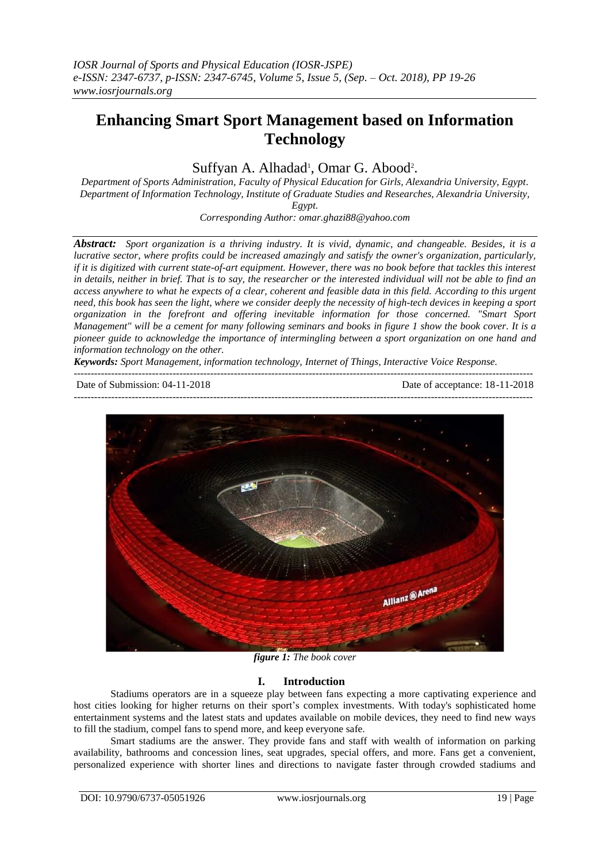# **Enhancing Smart Sport Management based on Information Technology**

Suffyan A. Alhadad<sup>1</sup>, Omar G. Abood<sup>2</sup>.

*Department of Sports Administration, Faculty of Physical Education for Girls, Alexandria University, Egypt. Department of Information Technology, Institute of Graduate Studies and Researches, Alexandria University, Egypt.*

*Corresponding Author: omar.ghazi88@yahoo.com*

*Abstract: Sport organization is a thriving industry. It is vivid, dynamic, and changeable. Besides, it is a lucrative sector, where profits could be increased amazingly and satisfy the owner's organization, particularly, if it is digitized with current state-of-art equipment. However, there was no book before that tackles this interest in details, neither in brief. That is to say, the researcher or the interested individual will not be able to find an access anywhere to what he expects of a clear, coherent and feasible data in this field. According to this urgent need, this book has seen the light, where we consider deeply the necessity of high-tech devices in keeping a sport organization in the forefront and offering inevitable information for those concerned. "Smart Sport Management" will be a cement for many following seminars and books in figure 1 show the book cover. It is a pioneer guide to acknowledge the importance of intermingling between a sport organization on one hand and information technology on the other.* 

---------------------------------------------------------------------------------------------------------------------------------------

*Keywords: Sport Management, information technology, Internet of Things, Interactive Voice Response.* ---------------------------------------------------------------------------------------------------------------------------------------

Date of Submission: 04-11-2018 Date of acceptance: 18-11-2018



*figure 1: The book cover*

## **I. Introduction**

Stadiums operators are in a squeeze play between fans expecting a more captivating experience and host cities looking for higher returns on their sport's complex investments. With today's sophisticated home entertainment systems and the latest stats and updates available on mobile devices, they need to find new ways to fill the stadium, compel fans to spend more, and keep everyone safe.

Smart stadiums are the answer. They provide fans and staff with wealth of information on parking availability, bathrooms and concession lines, seat upgrades, special offers, and more. Fans get a convenient, personalized experience with shorter lines and directions to navigate faster through crowded stadiums and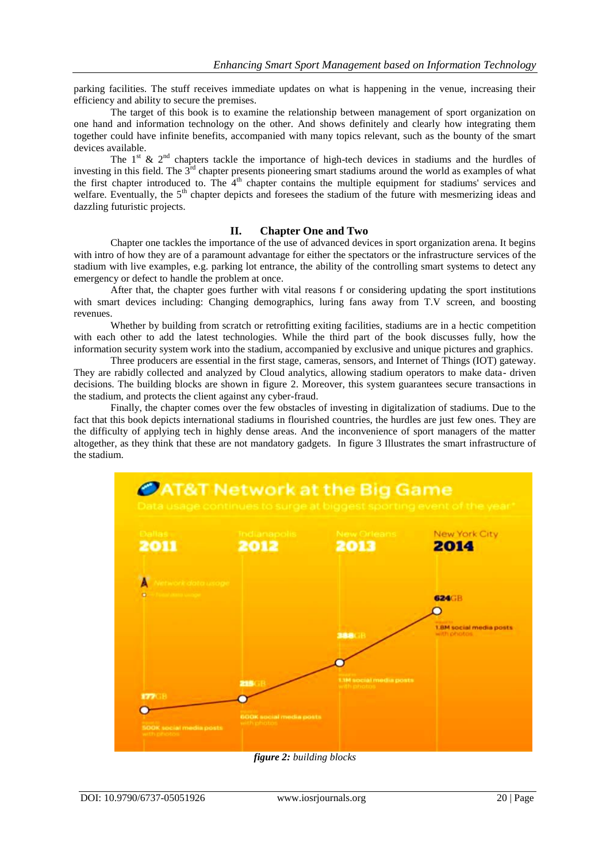parking facilities. The stuff receives immediate updates on what is happening in the venue, increasing their efficiency and ability to secure the premises.

The target of this book is to examine the relationship between management of sport organization on one hand and information technology on the other. And shows definitely and clearly how integrating them together could have infinite benefits, accompanied with many topics relevant, such as the bounty of the smart devices available.

The  $1^{st}$  &  $2^{nd}$  chapters tackle the importance of high-tech devices in stadiums and the hurdles of investing in this field. The 3<sup>rd</sup> chapter presents pioneering smart stadiums around the world as examples of what the first chapter introduced to. The  $4<sup>th</sup>$  chapter contains the multiple equipment for stadiums' services and welfare. Eventually, the 5<sup>th</sup> chapter depicts and foresees the stadium of the future with mesmerizing ideas and dazzling futuristic projects.

#### **II. Chapter One and Two**

Chapter one tackles the importance of the use of advanced devices in sport organization arena. It begins with intro of how they are of a paramount advantage for either the spectators or the infrastructure services of the stadium with live examples, e.g. parking lot entrance, the ability of the controlling smart systems to detect any emergency or defect to handle the problem at once.

After that, the chapter goes further with vital reasons f or considering updating the sport institutions with smart devices including: Changing demographics, luring fans away from T.V screen, and boosting revenues.

Whether by building from scratch or retrofitting exiting facilities, stadiums are in a hectic competition with each other to add the latest technologies. While the third part of the book discusses fully, how the information security system work into the stadium, accompanied by exclusive and unique pictures and graphics.

Three producers are essential in the first stage, cameras, sensors, and Internet of Things (IOT) gateway. They are rabidly collected and analyzed by Cloud analytics, allowing stadium operators to make data- driven decisions. The building blocks are shown in figure 2. Moreover, this system guarantees secure transactions in the stadium, and protects the client against any cyber-fraud.

Finally, the chapter comes over the few obstacles of investing in digitalization of stadiums. Due to the fact that this book depicts international stadiums in flourished countries, the hurdles are just few ones. They are the difficulty of applying tech in highly dense areas. And the inconvenience of sport managers of the matter altogether, as they think that these are not mandatory gadgets. In figure 3 Illustrates the smart infrastructure of the stadium.



*figure 2: building blocks*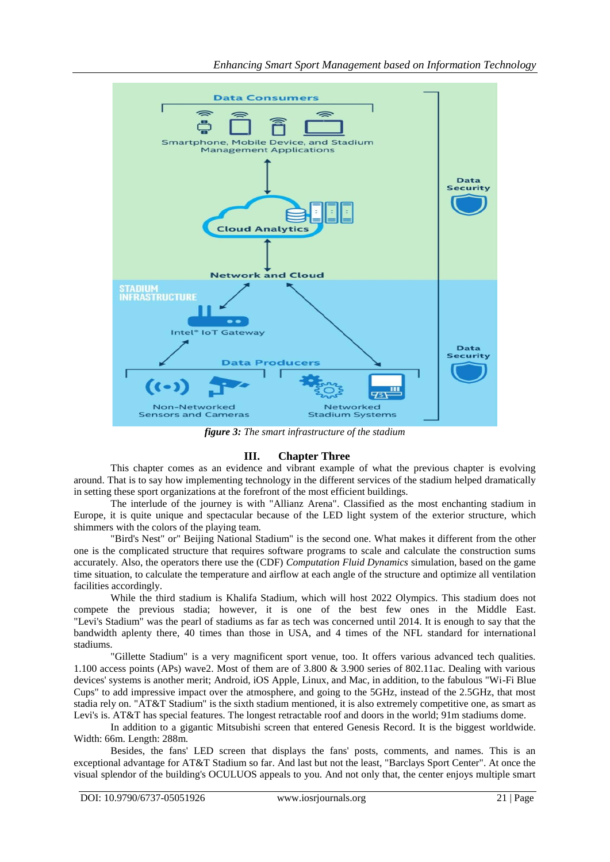

*figure 3: The smart infrastructure of the stadium*

## **III. Chapter Three**

This chapter comes as an evidence and vibrant example of what the previous chapter is evolving around. That is to say how implementing technology in the different services of the stadium helped dramatically in setting these sport organizations at the forefront of the most efficient buildings.

The interlude of the journey is with "Allianz Arena". Classified as the most enchanting stadium in Europe, it is quite unique and spectacular because of the LED light system of the exterior structure, which shimmers with the colors of the playing team.

"Bird's Nest" or" Beijing National Stadium" is the second one. What makes it different from the other one is the complicated structure that requires software programs to scale and calculate the construction sums accurately. Also, the operators there use the (CDF) *Computation Fluid Dynamics* simulation, based on the game time situation, to calculate the temperature and airflow at each angle of the structure and optimize all ventilation facilities accordingly.

While the third stadium is Khalifa Stadium, which will host 2022 Olympics. This stadium does not compete the previous stadia; however, it is one of the best few ones in the Middle East. "Levi's Stadium" was the pearl of stadiums as far as tech was concerned until 2014. It is enough to say that the bandwidth aplenty there, 40 times than those in USA, and 4 times of the NFL standard for international stadiums.

"Gillette Stadium" is a very magnificent sport venue, too. It offers various advanced tech qualities. 1.100 access points (APs) wave2. Most of them are of 3.800 & 3.900 series of 802.11ac. Dealing with various devices' systems is another merit; Android, iOS Apple, Linux, and Mac, in addition, to the fabulous "Wi-Fi Blue Cups" to add impressive impact over the atmosphere, and going to the 5GHz, instead of the 2.5GHz, that most stadia rely on. "AT&T Stadium" is the sixth stadium mentioned, it is also extremely competitive one, as smart as Levi's is. AT&T has special features. The longest retractable roof and doors in the world; 91m stadiums dome.

In addition to a gigantic Mitsubishi screen that entered Genesis Record. It is the biggest worldwide. Width: 66m. Length: 288m.

Besides, the fans' LED screen that displays the fans' posts, comments, and names. This is an exceptional advantage for AT&T Stadium so far. And last but not the least, "Barclays Sport Center". At once the visual splendor of the building's OCULUOS appeals to you. And not only that, the center enjoys multiple smart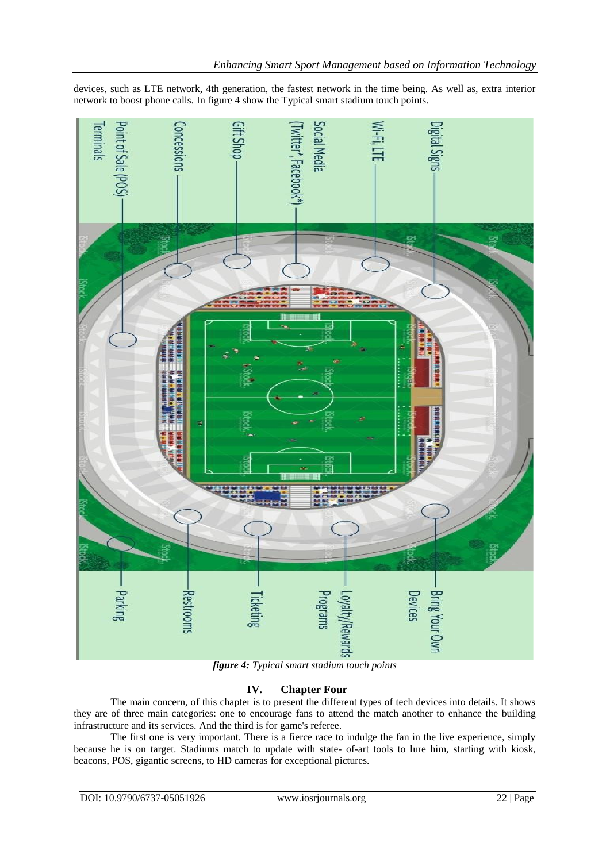

devices, such as LTE network, 4th generation, the fastest network in the time being. As well as, extra interior network to boost phone calls. In figure 4 show the Typical smart stadium touch points.

*figure 4: Typical smart stadium touch points*

## **IV. Chapter Four**

The main concern, of this chapter is to present the different types of tech devices into details. It shows they are of three main categories: one to encourage fans to attend the match another to enhance the building infrastructure and its services. And the third is for game's referee.

The first one is very important. There is a fierce race to indulge the fan in the live experience, simply because he is on target. Stadiums match to update with state- of-art tools to lure him, starting with kiosk, beacons, POS, gigantic screens, to HD cameras for exceptional pictures.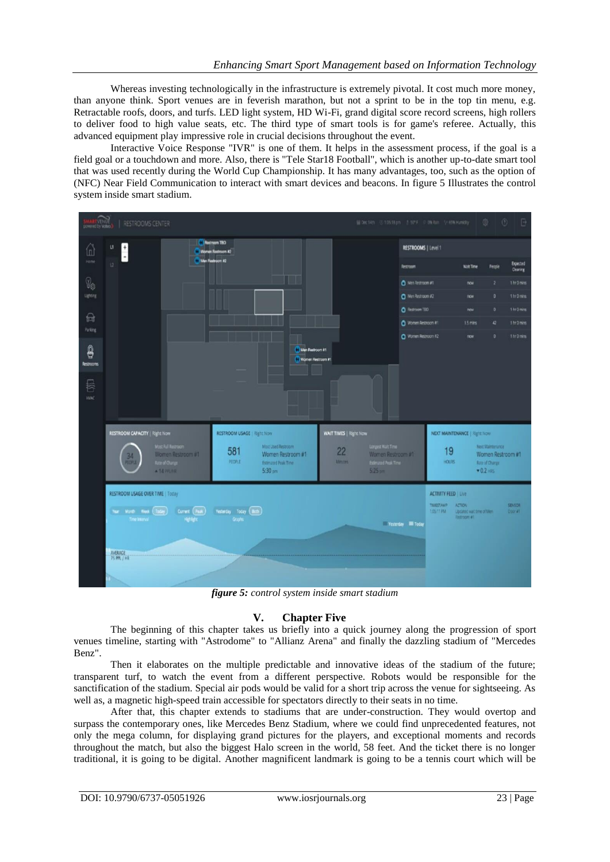Whereas investing technologically in the infrastructure is extremely pivotal. It cost much more money, than anyone think. Sport venues are in feverish marathon, but not a sprint to be in the top tin menu, e.g. Retractable roofs, doors, and turfs. LED light system, HD Wi-Fi, grand digital score record screens, high rollers to deliver food to high value seats, etc. The third type of smart tools is for game's referee. Actually, this advanced equipment play impressive role in crucial decisions throughout the event.

Interactive Voice Response "IVR" is one of them. It helps in the assessment process, if the goal is a field goal or a touchdown and more. Also, there is "Tele Star18 Football", which is another up-to-date smart tool that was used recently during the World Cup Championship. It has many advantages, too, such as the option of (NFC) Near Field Communication to interact with smart devices and beacons. In figure 5 Illustrates the control system inside smart stadium.



*figure 5: control system inside smart stadium*

## **V. Chapter Five**

The beginning of this chapter takes us briefly into a quick journey along the progression of sport venues timeline, starting with "Astrodome" to "Allianz Arena" and finally the dazzling stadium of "Mercedes Benz".

Then it elaborates on the multiple predictable and innovative ideas of the stadium of the future; transparent turf, to watch the event from a different perspective. Robots would be responsible for the sanctification of the stadium. Special air pods would be valid for a short trip across the venue for sightseeing. As well as, a magnetic high-speed train accessible for spectators directly to their seats in no time.

After that, this chapter extends to stadiums that are under-construction. They would overtop and surpass the contemporary ones, like Mercedes Benz Stadium, where we could find unprecedented features, not only the mega column, for displaying grand pictures for the players, and exceptional moments and records throughout the match, but also the biggest Halo screen in the world, 58 feet. And the ticket there is no longer traditional, it is going to be digital. Another magnificent landmark is going to be a tennis court which will be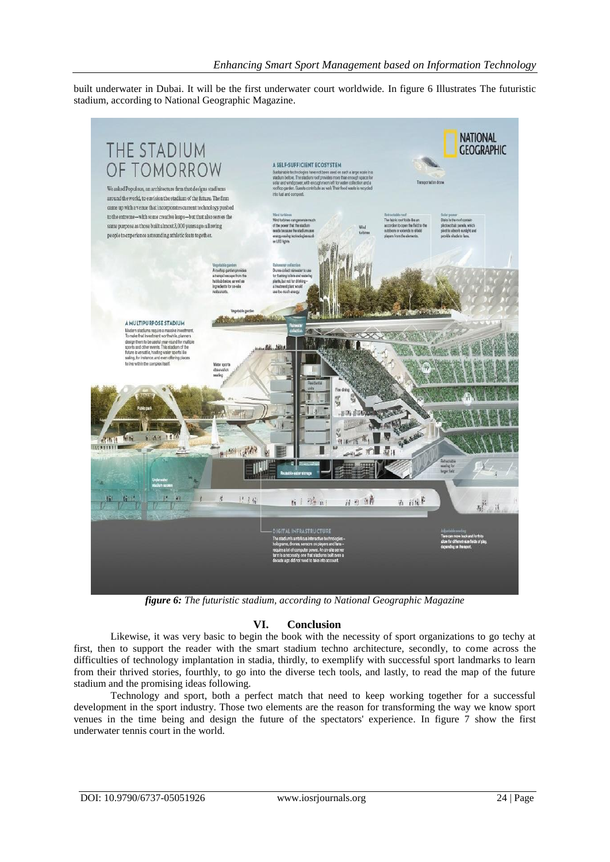built underwater in Dubai. It will be the first underwater court worldwide. In figure 6 Illustrates The futuristic stadium, according to National Geographic Magazine.



*figure 6: The futuristic stadium, according to National Geographic Magazine*

## **VI. Conclusion**

Likewise, it was very basic to begin the book with the necessity of sport organizations to go techy at first, then to support the reader with the smart stadium techno architecture, secondly, to come across the difficulties of technology implantation in stadia, thirdly, to exemplify with successful sport landmarks to learn from their thrived stories, fourthly, to go into the diverse tech tools, and lastly, to read the map of the future stadium and the promising ideas following.

Technology and sport, both a perfect match that need to keep working together for a successful development in the sport industry. Those two elements are the reason for transforming the way we know sport venues in the time being and design the future of the spectators' experience. In figure 7 show the first underwater tennis court in the world.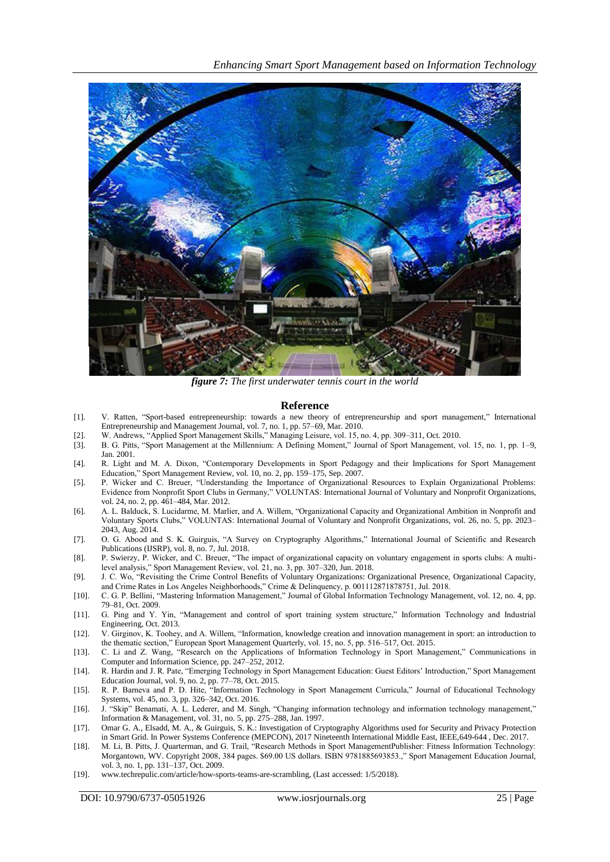![](_page_6_Picture_1.jpeg)

*figure 7: The first underwater tennis court in the world*

#### **Reference**

- [1]. V. Ratten, "Sport-based entrepreneurship: towards a new theory of entrepreneurship and sport management," International Entrepreneurship and Management Journal, vol. 7, no. 1, pp. 57–69, Mar. 2010.
- [2]. W. Andrews, "Applied Sport Management Skills," Managing Leisure, vol. 15, no. 4, pp. 309–311, Oct. 2010.
- [3]. B. G. Pitts, "Sport Management at the Millennium: A Defining Moment," Journal of Sport Management, vol. 15, no. 1, pp. 1–9, Jan. 2001.
- [4]. R. Light and M. A. Dixon, "Contemporary Developments in Sport Pedagogy and their Implications for Sport Management Education," Sport Management Review, vol. 10, no. 2, pp. 159–175, Sep. 2007.
- [5]. P. Wicker and C. Breuer, "Understanding the Importance of Organizational Resources to Explain Organizational Problems: Evidence from Nonprofit Sport Clubs in Germany," VOLUNTAS: International Journal of Voluntary and Nonprofit Organizations, vol. 24, no. 2, pp. 461–484, Mar. 2012.
- [6]. A. L. Balduck, S. Lucidarme, M. Marlier, and A. Willem, "Organizational Capacity and Organizational Ambition in Nonprofit and Voluntary Sports Clubs," VOLUNTAS: International Journal of Voluntary and Nonprofit Organizations, vol. 26, no. 5, pp. 2023– 2043, Aug. 2014.
- [7]. O. G. Abood and S. K. Guirguis, "A Survey on Cryptography Algorithms," International Journal of Scientific and Research Publications (IJSRP), vol. 8, no. 7, Jul. 2018.
- [8]. P. Swierzy, P. Wicker, and C. Breuer, "The impact of organizational capacity on voluntary engagement in sports clubs: A multilevel analysis," Sport Management Review, vol. 21, no. 3, pp. 307–320, Jun. 2018.
- [9]. J. C. Wo, "Revisiting the Crime Control Benefits of Voluntary Organizations: Organizational Presence, Organizational Capacity, and Crime Rates in Los Angeles Neighborhoods," Crime & Delinquency, p. 001112871878751, Jul. 2018.
- [10]. C. G. P. Bellini, "Mastering Information Management," Journal of Global Information Technology Management, vol. 12, no. 4, pp. 79–81, Oct. 2009.
- [11]. G. Ping and Y. Yin, "Management and control of sport training system structure," Information Technology and Industrial Engineering, Oct. 2013.
- [12]. V. Girginov, K. Toohey, and A. Willem, "Information, knowledge creation and innovation management in sport: an introduction to the thematic section," European Sport Management Quarterly, vol. 15, no. 5, pp. 516–517, Oct. 2015.
- [13]. C. Li and Z. Wang, "Research on the Applications of Information Technology in Sport Management," Communications in Computer and Information Science, pp. 247–252, 2012.
- [14]. R. Hardin and J. R. Pate, "Emerging Technology in Sport Management Education: Guest Editors' Introduction," Sport Management Education Journal, vol. 9, no. 2, pp. 77–78, Oct. 2015.
- [15]. R. P. Barneva and P. D. Hite, "Information Technology in Sport Management Curricula," Journal of Educational Technology Systems, vol. 45, no. 3, pp. 326–342, Oct. 2016.
- [16]. J. "Skip" Benamati, A. L. Lederer, and M. Singh, "Changing information technology and information technology management," Information & Management, vol. 31, no. 5, pp. 275–288, Jan. 1997.
- [17]. Omar G. A., Elsadd, M. A., & Guirguis, S. K.: Investigation of Cryptography Algorithms used for Security and Privacy Protection in Smart Grid. In Power Systems Conference (MEPCON), 2017 Nineteenth International Middle East, IEEE,649-644 , Dec. 2017.
- [18]. M. Li, B. Pitts, J. Quarterman, and G. Trail, "Research Methods in Sport ManagementPublisher: Fitness Information Technology: Morgantown, WV. Copyright 2008, 384 pages. \$69.00 US dollars. ISBN 9781885693853.," Sport Management Education Journal, vol. 3, no. 1, pp. 131–137, Oct. 2009.
- [19]. [www.techrepulic.com/article/how-sports-teams-are-scrambling,](http://www.techrepulic.com/article/how-sports-teams-are-scrambling) (Last accessed: 1/5/2018).